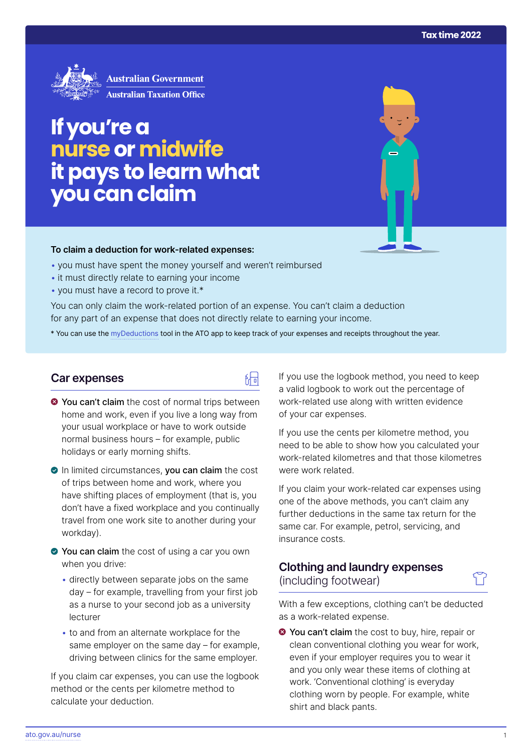

# **If you're a nurseormidwife it pays to learn what you can claim**

#### **To claim a deduction for work‑related expenses:**

- you must have spent the money yourself and weren't reimbursed
- it must directly relate to earning your income
- you must have a record to prove it.\*

You can only claim the work-related portion of an expense. You can't claim a deduction for any part of an expense that does not directly relate to earning your income.

\* You can use the [myDeductions](https://ato.gov.au/mydeductions) tool in the ATO app to keep track of your expenses and receipts throughout the year.

品

#### **Car expenses**

- $\bullet$  You can't claim the cost of normal trips between home and work, even if you live a long way from your usual workplace or have to work outside normal business hours – for example, public holidays or early morning shifts.
- In limited circumstances, you can claim the cost of trips between home and work, where you have shifting places of employment (that is, you don't have a fixed workplace and you continually travel from one work site to another during your workday).
- You can claim the cost of using a car you own when you drive:
	- directly between separate jobs on the same day – for example, travelling from your first job as a nurse to your second job as a university lecturer
	- to and from an alternate workplace for the same employer on the same day – for example, driving between clinics for the same employer.

If you claim car expenses, you can use the logbook method or the cents per kilometre method to calculate your deduction.

If you use the logbook method, you need to keep a valid logbook to work out the percentage of work-related use along with written evidence of your car expenses.

If you use the cents per kilometre method, you need to be able to show how you calculated your work-related kilometres and that those kilometres were work related.

If you claim your work-related car expenses using one of the above methods, you can't claim any further deductions in the same tax return for the same car. For example, petrol, servicing, and insurance costs.

## **Clothing and laundry expenses**  (including footwear)

With a few exceptions, clothing can't be deducted as a work-related expense.

**◆ You can't claim** the cost to buy, hire, repair or clean conventional clothing you wear for work, even if your employer requires you to wear it and you only wear these items of clothing at work. 'Conventional clothing' is everyday clothing worn by people. For example, white shirt and black pants.